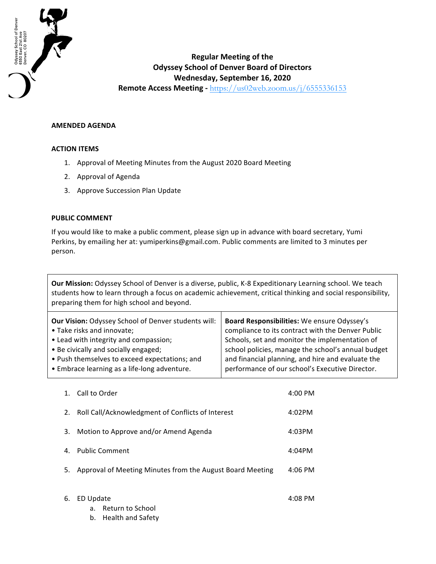

## **Regular Meeting of the Odyssey School of Denver Board of Directors Wednesday, September 16, 2020 Remote Access Meeting** - https://us02web.zoom.us/j/6555336153

**AMENDED AGENDA**

## **ACTION ITEMS**

- 1. Approval of Meeting Minutes from the August 2020 Board Meeting
- 2. Approval of Agenda
- 3. Approve Succession Plan Update

## **PUBLIC COMMENT**

If you would like to make a public comment, please sign up in advance with board secretary, Yumi Perkins, by emailing her at: yumiperkins@gmail.com. Public comments are limited to 3 minutes per person.

**Our Mission:** Odyssey School of Denver is a diverse, public, K-8 Expeditionary Learning school. We teach students how to learn through a focus on academic achievement, critical thinking and social responsibility, preparing them for high school and beyond.

| Board Responsibilities: We ensure Odyssey's<br>compliance to its contract with the Denver Public<br>Schools, set and monitor the implementation of<br>school policies, manage the school's annual budget<br>and financial planning, and hire and evaluate the |
|---------------------------------------------------------------------------------------------------------------------------------------------------------------------------------------------------------------------------------------------------------------|
| performance of our school's Executive Director.                                                                                                                                                                                                               |
|                                                                                                                                                                                                                                                               |

| 1. | Call to Order                                             | $4:00 \, \text{PM}$ |
|----|-----------------------------------------------------------|---------------------|
| 2. | Roll Call/Acknowledgment of Conflicts of Interest         | 4:02PM              |
| 3. | Motion to Approve and/or Amend Agenda                     | 4:03PM              |
| 4. | <b>Public Comment</b>                                     | 4:04PM              |
| 5. | Approval of Meeting Minutes from the August Board Meeting | $4:06$ PM           |
|    |                                                           |                     |
| 6. | ED Update                                                 | 4:08 PM             |

- a. Return to School
- b. Health and Safety